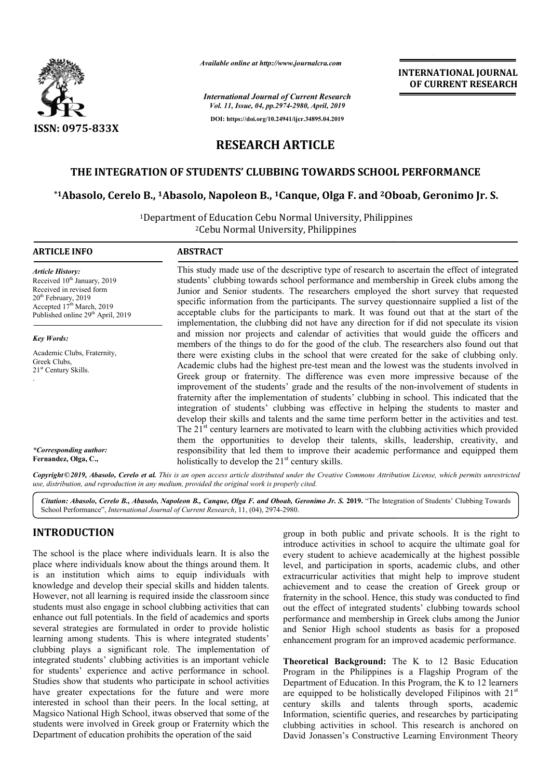

*Available online at http://www.journalcra.com*

*International Journal of Current Research Vol. 11, Issue, 04, pp.2974-2980, April, 2019*

**DOI: https://doi.org/10.24941/ijcr.34895.04.2019**

# **INTERNATIONAL JOURNAL OF CURRENT RESEARCH**

# **RESEARCH ARTICLE**

# **THE INTEGRATION OF STUDENTS' CLUBBING TOWARDS SCHOOL PERFORMANCE**

# **\*1Abasolo, Cerelo B., 1Abasolo, Napoleon B Abasolo, B., 1Canque, Olga F. and 2Oboab, OF TOWARDS SCHOOL Oboab, Geronimo Jr. S.**

1Department of Education Cebu Normal University, Philippines Department Cebu Normal University, Philippines <sup>2</sup>Cebu Normal University, Philippines

| <b>ARTICLE INFO</b>                                                                                                                                                                                               | <b>ABSTRACT</b>                                                                                                                                                                                                                                                                                                                                                                                                                                                                                                                                                                                                                                                                                                                                                                                                                                           |
|-------------------------------------------------------------------------------------------------------------------------------------------------------------------------------------------------------------------|-----------------------------------------------------------------------------------------------------------------------------------------------------------------------------------------------------------------------------------------------------------------------------------------------------------------------------------------------------------------------------------------------------------------------------------------------------------------------------------------------------------------------------------------------------------------------------------------------------------------------------------------------------------------------------------------------------------------------------------------------------------------------------------------------------------------------------------------------------------|
| <b>Article History:</b><br>Received 10 <sup>th</sup> January, 2019<br>Received in revised form<br>$20th$ February, 2019<br>Accepted 17 <sup>th</sup> March, 2019<br>Published online 29 <sup>th</sup> April, 2019 | This study made use of the descriptive type of research to ascertain the effect of integrated<br>students' clubbing towards school performance and membership in Greek clubs among the<br>Junior and Senior students. The researchers employed the short survey that requested<br>specific information from the participants. The survey questionnaire supplied a list of the<br>acceptable clubs for the participants to mark. It was found out that at the start of the<br>implementation, the clubbing did not have any direction for if did not speculate its vision                                                                                                                                                                                                                                                                                  |
| <b>Key Words:</b>                                                                                                                                                                                                 | and mission nor projects and calendar of activities that would guide the officers and<br>members of the things to do for the good of the club. The researchers also found out that                                                                                                                                                                                                                                                                                                                                                                                                                                                                                                                                                                                                                                                                        |
| Academic Clubs, Fraternity,<br>Greek Clubs,<br>$21st$ Century Skills.                                                                                                                                             | there were existing clubs in the school that were created for the sake of clubbing only.<br>Academic clubs had the highest pre-test mean and the lowest was the students involved in<br>Greek group or fraternity. The difference was even more impressive because of the<br>improvement of the students' grade and the results of the non-involvement of students in<br>fraternity after the implementation of students' clubbing in school. This indicated that the<br>integration of students' clubbing was effective in helping the students to master and<br>develop their skills and talents and the same time perform better in the activities and test.<br>The $21st$ century learners are motivated to learn with the clubbing activities which provided<br>them the opportunities to develop their talents, skills, leadership, creativity, and |
| *Corresponding author:<br>Fernandez, Olga, C.,                                                                                                                                                                    | responsibility that led them to improve their academic performance and equipped them<br>holistically to develop the $21st$ century skills.                                                                                                                                                                                                                                                                                                                                                                                                                                                                                                                                                                                                                                                                                                                |

Copyright©2019, Abasolo, Cerelo et al. This is an open access article distributed under the Creative Commons Attribution License, which permits unrestrictea *use, distribution, and reproduction in any medium, provided the original work is properly cited.*

Citation: Abasolo, Cerelo B., Abasolo, Napoleon B., Canque, Olga F. and Oboab, Geronimo Jr. S. 2019. "The Integration of Students' Clubbing Towards School Performance", *International Journal of Current Research* , 11, (04), 2974-2980.

# **INTRODUCTION**

The school is the place where individuals learn. It is also the place where individuals know about the things around them. It is an institution which aims to equip individuals with knowledge and develop their special skills and hidden talents. However, not all learning is required inside the classroom since students must also engage in school clubbing activities that can enhance out full potentials. In the field of academics and sports several strategies are formulated in order to provide holistic learning among students. This is where integrated students' clubbing plays a significant role. The implementation of integrated students' clubbing activities is an important vehicle for students' experience and active performance in school. Studies show that students who participate in school activities have greater expectations for the future and were more interested in school than their peers. In the local setting, at Magsico National High School, itwas observed that some of the students were involved in Greek group or Fraternity which the Department of education prohibits the operation of the said elop their special skills and hidden talents.<br>
urning is required inside the classroom since<br>
engage in school clubbing activities that can<br>
entials. In the field of academics and sports<br>
re formulated in order to provide

group in both public and private schools. It is the right to group in both public and private schools. It is the right to introduce activities in school to acquire the ultimate goal for every student to achieve academically at the highest possible level, and participation in sports, academic clubs, and other extracurricular activities that might help to improve student achievement and to cease the creation of Greek group or fraternity in the school. Hence, this study was conducted to find out the effect of integrated students' clubbing towards school out the effect of integrated students' clubbing towards school performance and membership in Greek clubs among the Junior and Senior High school students as basis for a proposed enhancement program for an improved academic performance. chieve academically at the highest possible<br>ation in sports, academic clubs, and other<br>ivities that might help to improve student<br>to cease the creation of Greek group or<br>nool. Hence, this study was conducted to find

**Theoretical Background:** The K to 12 Basic Education Program in the Philippines is a Flagship Program of the Department of Education. In this Program, the K to 12 learners are equipped to be holistically developed Filipinos with  $21<sup>st</sup>$ century skills and talents through sports, academic Information, scientific queries, and researches by participating Information, scientific queries, and researches by participating clubbing activities in school. This research is anchored on David Jonassen's Constructive Learning Environment Theory improved academic performance.<br> **I:** The K to 12 Basic Education<br>
ies is a Flagship Program of the<br>
In this Program, the K to 12 learners<br>
ically developed Filipinos with 21<sup>st</sup>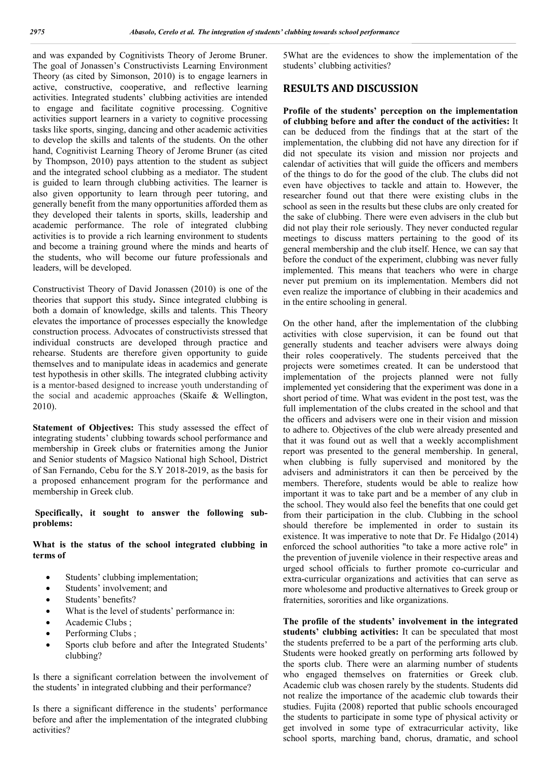and was expanded by Cognitivists Theory of Jerome Bruner. The goal of Jonassen's Constructivists Learning Environment Theory (as cited by Simonson, 2010) is to engage learners in active, constructive, cooperative, and reflective learning activities. Integrated students' clubbing activities are intended to engage and facilitate cognitive processing. Cognitive activities support learners in a variety to cognitive processing tasks like sports, singing, dancing and other academic activities to develop the skills and talents of the students. On the other hand, Cognitivist Learning Theory of Jerome Bruner (as cited by Thompson, 2010) pays attention to the student as subject and the integrated school clubbing as a mediator. The student is guided to learn through clubbing activities. The learner is also given opportunity to learn through peer tutoring, and generally benefit from the many opportunities afforded them as they developed their talents in sports, skills, leadership and academic performance. The role of integrated clubbing activities is to provide a rich learning environment to students and become a training ground where the minds and hearts of the students, who will become our future professionals and leaders, will be developed.

Constructivist Theory of David Jonassen (2010) is one of the theories that support this study**.** Since integrated clubbing is both a domain of knowledge, skills and talents. This Theory elevates the importance of processes especially the knowledge construction process. Advocates of constructivists stressed that individual constructs are developed through practice and rehearse. Students are therefore given opportunity to guide themselves and to manipulate ideas in academics and generate test hypothesis in other skills. The integrated clubbing activity is a mentor-based designed to increase youth understanding of the social and academic approaches (Skaife & Wellington, 2010).

**Statement of Objectives:** This study assessed the effect of integrating students' clubbing towards school performance and membership in Greek clubs or fraternities among the Junior and Senior students of Magsico National high School, District of San Fernando, Cebu for the S.Y 2018-2019, as the basis for a proposed enhancement program for the performance and membership in Greek club.

## **Specifically, it sought to answer the following subproblems:**

# **What is the status of the school integrated clubbing in terms of**

- Students' clubbing implementation;
- Students' involvement; and
- Students' benefits?
- What is the level of students' performance in:
- Academic Clubs ;
- Performing Clubs ;
- Sports club before and after the Integrated Students' clubbing?

Is there a significant correlation between the involvement of the students' in integrated clubbing and their performance?

Is there a significant difference in the students' performance before and after the implementation of the integrated clubbing activities?

5What are the evidences to show the implementation of the students' clubbing activities?

# **RESULTS AND DISCUSSION**

**Profile of the students' perception on the implementation of clubbing before and after the conduct of the activities:** It can be deduced from the findings that at the start of the implementation, the clubbing did not have any direction for if did not speculate its vision and mission nor projects and calendar of activities that will guide the officers and members of the things to do for the good of the club. The clubs did not even have objectives to tackle and attain to. However, the researcher found out that there were existing clubs in the school as seen in the results but these clubs are only created for the sake of clubbing. There were even advisers in the club but did not play their role seriously. They never conducted regular meetings to discuss matters pertaining to the good of its general membership and the club itself. Hence, we can say that before the conduct of the experiment, clubbing was never fully implemented. This means that teachers who were in charge never put premium on its implementation. Members did not even realize the importance of clubbing in their academics and in the entire schooling in general.

On the other hand, after the implementation of the clubbing activities with close supervision, it can be found out that generally students and teacher advisers were always doing their roles cooperatively. The students perceived that the projects were sometimes created. It can be understood that implementation of the projects planned were not fully implemented yet considering that the experiment was done in a short period of time. What was evident in the post test, was the full implementation of the clubs created in the school and that the officers and advisers were one in their vision and mission to adhere to. Objectives of the club were already presented and that it was found out as well that a weekly accomplishment report was presented to the general membership. In general, when clubbing is fully supervised and monitored by the advisers and administrators it can then be perceived by the members. Therefore, students would be able to realize how important it was to take part and be a member of any club in the school. They would also feel the benefits that one could get from their participation in the club. Clubbing in the school should therefore be implemented in order to sustain its existence. It was imperative to note that Dr. Fe Hidalgo (2014) enforced the school authorities "to take a more active role" in the prevention of juvenile violence in their respective areas and urged school officials to further promote co-curricular and extra-curricular organizations and activities that can serve as more wholesome and productive alternatives to Greek group or fraternities, sororities and like organizations.

**The profile of the students' involvement in the integrated students' clubbing activities:** It can be speculated that most the students preferred to be a part of the performing arts club. Students were hooked greatly on performing arts followed by the sports club. There were an alarming number of students who engaged themselves on fraternities or Greek club. Academic club was chosen rarely by the students. Students did not realize the importance of the academic club towards their studies. Fujita (2008) reported that public schools encouraged the students to participate in some type of physical activity or get involved in some type of extracurricular activity, like school sports, marching band, chorus, dramatic, and school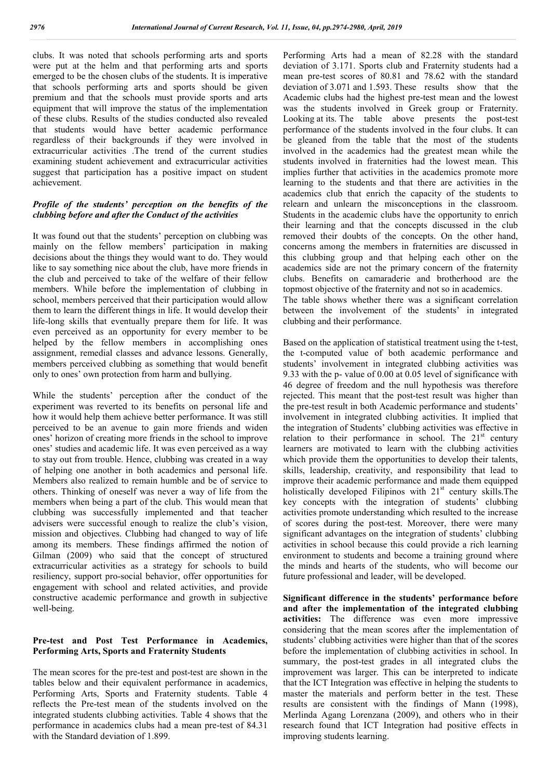clubs. It was noted that schools performing arts and sports were put at the helm and that performing arts and sports emerged to be the chosen clubs of the students. It is imperative that schools performing arts and sports should be given premium and that the schools must provide sports and arts equipment that will improve the status of the implementation of these clubs. Results of the studies conducted also revealed that students would have better academic performance regardless of their backgrounds if they were involved in extracurricular activities .The trend of the current studies examining student achievement and extracurricular activities suggest that participation has a positive impact on student achievement.

## *Profile of the students' perception on the benefits of the clubbing before and after the Conduct of the activities*

It was found out that the students' perception on clubbing was mainly on the fellow members' participation in making decisions about the things they would want to do. They would like to say something nice about the club, have more friends in the club and perceived to take of the welfare of their fellow members. While before the implementation of clubbing in school, members perceived that their participation would allow them to learn the different things in life. It would develop their life-long skills that eventually prepare them for life. It was even perceived as an opportunity for every member to be helped by the fellow members in accomplishing ones assignment, remedial classes and advance lessons. Generally, members perceived clubbing as something that would benefit only to ones' own protection from harm and bullying.

While the students' perception after the conduct of the experiment was reverted to its benefits on personal life and how it would help them achieve better performance. It was still perceived to be an avenue to gain more friends and widen ones' horizon of creating more friends in the school to improve ones' studies and academic life. It was even perceived as a way to stay out from trouble. Hence, clubbing was created in a way of helping one another in both academics and personal life. Members also realized to remain humble and be of service to others. Thinking of oneself was never a way of life from the members when being a part of the club. This would mean that clubbing was successfully implemented and that teacher advisers were successful enough to realize the club's vision, mission and objectives. Clubbing had changed to way of life among its members. These findings affirmed the notion of Gilman (2009) who said that the concept of structured extracurricular activities as a strategy for schools to build resiliency, support pro-social behavior, offer opportunities for engagement with school and related activities, and provide constructive academic performance and growth in subjective well-being.

# **Pre-test and Post Test Performance in Academics, Performing Arts, Sports and Fraternity Students**

The mean scores for the pre-test and post-test are shown in the tables below and their equivalent performance in academics, Performing Arts, Sports and Fraternity students. Table 4 reflects the Pre-test mean of the students involved on the integrated students clubbing activities. Table 4 shows that the performance in academics clubs had a mean pre-test of 84.31 with the Standard deviation of 1.899.

Performing Arts had a mean of 82.28 with the standard deviation of 3.171. Sports club and Fraternity students had a mean pre-test scores of 80.81 and 78.62 with the standard deviation of 3.071 and 1.593. These results show that the Academic clubs had the highest pre-test mean and the lowest was the students involved in Greek group or Fraternity. Looking at its. The table above presents the post-test performance of the students involved in the four clubs. It can be gleaned from the table that the most of the students involved in the academics had the greatest mean while the students involved in fraternities had the lowest mean. This implies further that activities in the academics promote more learning to the students and that there are activities in the academics club that enrich the capacity of the students to relearn and unlearn the misconceptions in the classroom. Students in the academic clubs have the opportunity to enrich their learning and that the concepts discussed in the club removed their doubts of the concepts. On the other hand, concerns among the members in fraternities are discussed in this clubbing group and that helping each other on the academics side are not the primary concern of the fraternity clubs. Benefits on camaraderie and brotherhood are the topmost objective of the fraternity and not so in academics.

The table shows whether there was a significant correlation between the involvement of the students' in integrated clubbing and their performance.

Based on the application of statistical treatment using the t-test, the t-computed value of both academic performance and students' involvement in integrated clubbing activities was 9.33 with the p- value of 0.00 at 0.05 level of significance with 46 degree of freedom and the null hypothesis was therefore rejected. This meant that the post-test result was higher than the pre-test result in both Academic performance and students' involvement in integrated clubbing activities. It implied that the integration of Students' clubbing activities was effective in relation to their performance in school. The  $21<sup>st</sup>$  century learners are motivated to learn with the clubbing activities which provide them the opportunities to develop their talents, skills, leadership, creativity, and responsibility that lead to improve their academic performance and made them equipped holistically developed Filipinos with 21<sup>st</sup> century skills.The key concepts with the integration of students' clubbing activities promote understanding which resulted to the increase of scores during the post-test. Moreover, there were many significant advantages on the integration of students' clubbing activities in school because this could provide a rich learning environment to students and become a training ground where the minds and hearts of the students, who will become our future professional and leader, will be developed.

**Significant difference in the students' performance before and after the implementation of the integrated clubbing activities:** The difference was even more impressive considering that the mean scores after the implementation of students' clubbing activities were higher than that of the scores before the implementation of clubbing activities in school. In summary, the post-test grades in all integrated clubs the improvement was larger. This can be interpreted to indicate that the ICT Integration was effective in helping the students to master the materials and perform better in the test. These results are consistent with the findings of Mann (1998), Merlinda Agang Lorenzana (2009), and others who in their research found that ICT Integration had positive effects in improving students learning.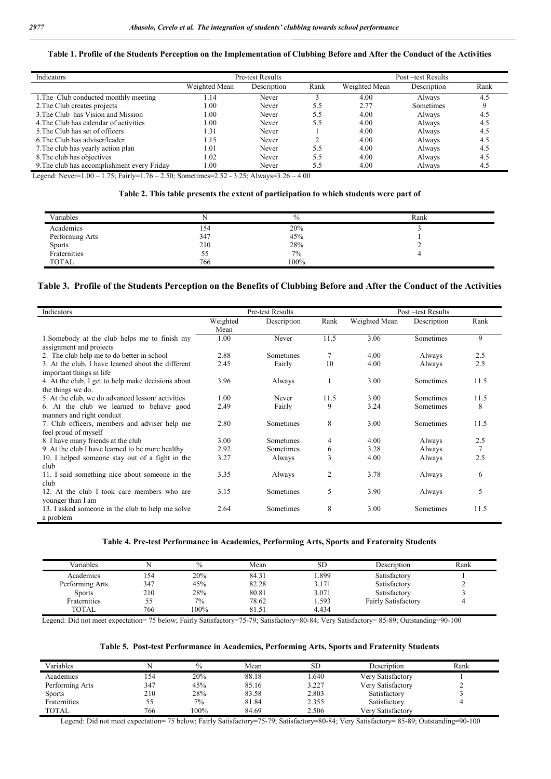#### **Table 1. Profile of the Students Perception on the Implementation of Clubbing Before and After the Conduct of the Activities**

| Indicators                                  |               | Pre-test Results |      | Post-test Results |             |      |
|---------------------------------------------|---------------|------------------|------|-------------------|-------------|------|
|                                             | Weighted Mean | Description      | Rank | Weighted Mean     | Description | Rank |
| 1. The Club conducted monthly meeting       | 14. ا         | Never            |      | 4.00              | Always      | 4.5  |
| 2. The Club creates projects                | 0.00          | Never            | 5.5  | 2.77              | Sometimes   |      |
| 3. The Club has Vision and Mission          | 1.00          | Never            | 5.5  | 4.00              | Always      | 4.5  |
| 4. The Club has calendar of activities      | 00.1          | Never            | 5.5  | 4.00              | Always      | 4.5  |
| 5. The Club has set of officers             | 1.31          | Never            |      | 4.00              | Always      | 4.5  |
| 6. The Club has adviser/leader              | l.15          | Never            |      | 4.00              | Always      | 4.5  |
| 7. The club has yearly action plan          | 1.01          | Never            | 5.5  | 4.00              | Always      | 4.5  |
| 8. The club has objectives                  | 1.02          | Never            | 5.5  | 4.00              | Always      | 4.5  |
| 9. The club has accomplishment every Friday | 00.1          | Never            | 5.5  | 4.00              | Always      | 4.5  |

Legend: Never=1.00 – 1.75; Fairly=1.76 – 2.50; Sometimes=2.52 - 3.25; Always=3.26 – 4.00

# **Table 2. This table presents the extent of participation to which students were part of**

| Variables       |           | $\%$ | Rank |
|-----------------|-----------|------|------|
| Academics       | 154       | 20%  |      |
| Performing Arts | 347       | 45%  |      |
| Sports          | 210       | 28%  |      |
| Fraternities    | 55<br>ر ر | 7%   |      |
| TOTAL           | 766       | 100% |      |

## **Table 3. Profile of the Students Perception on the Benefits of Clubbing Before and After the Conduct of the Activities**

| Indicators                                                                     |                  | Pre-test Results |      |               | Post -test Results |      |
|--------------------------------------------------------------------------------|------------------|------------------|------|---------------|--------------------|------|
|                                                                                | Weighted<br>Mean | Description      | Rank | Weighted Mean | Description        | Rank |
| 1. Somebody at the club helps me to finish my<br>assignment and projects       | 1.00             | Never            | 11.5 | 3.06          | <b>Sometimes</b>   | 9    |
| 2. The club help me to do better in school                                     | 2.88             | Sometimes        | 7    | 4.00          | Always             | 2.5  |
| 3. At the club, I have learned about the different<br>important things in life | 2.45             | Fairly           | 10   | 4.00          | Always             | 2.5  |
| 4. At the club, I get to help make decisions about<br>the things we do.        | 3.96             | Always           |      | 3.00          | <b>Sometimes</b>   | 11.5 |
| 5. At the club, we do advanced lesson/activities                               | 1.00             | Never            | 11.5 | 3.00          | Sometimes          | 11.5 |
| 6. At the club we learned to behave good<br>manners and right conduct          | 2.49             | Fairly           | 9    | 3.24          | Sometimes          | 8    |
| 7. Club officers, members and adviser help me<br>feel proud of myself          | 2.80             | <b>Sometimes</b> | 8    | 3.00          | <b>Sometimes</b>   | 11.5 |
| 8. I have many friends at the club                                             | 3.00             | <b>Sometimes</b> | 4    | 4.00          | Always             | 2.5  |
| 9. At the club I have learned to be more healthy                               | 2.92             | <b>Sometimes</b> | 6    | 3.28          | Always             | 7    |
| 10. I helped someone stay out of a fight in the<br>club                        | 3.27             | Always           | 3    | 4.00          | Always             | 2.5  |
| 11. I said something nice about someone in the<br>club                         | 3.35             | Always           | 2    | 3.78          | Always             | 6    |
| 12. At the club I took care members who are<br>younger than I am               | 3.15             | <b>Sometimes</b> | 5    | 3.90          | Always             | 5    |
| 13. I asked someone in the club to help me solve<br>a problem                  | 2.64             | <b>Sometimes</b> | 8    | 3.00          | Sometimes          | 11.5 |

#### **Table 4. Pre-test Performance in Academics, Performing Arts, Sports and Fraternity Students**

| Variables       |     | $\%$ | Mean  | <b>SD</b> | Description         | Rank |
|-----------------|-----|------|-------|-----------|---------------------|------|
| Academics       | 54ء | 20%  | 84.31 | 899.ء     | Satisfactory        |      |
| Performing Arts | 347 | 45%  | 82.28 | 3.171     | Satisfactory        |      |
| <b>Sports</b>   | 210 | 28%  | 80.81 | 3.071     | Satisfactory        |      |
| Fraternities    | 55  | 7%   | 78.62 | 1.593     | Fairly Satisfactory |      |
| <b>TOTAL</b>    | 766 | 100% | 81.51 | 4.434     |                     |      |

Legend: Did not meet expectation= 75 below; Fairly Satisfactory=75-79; Satisfactory=80-84; Very Satisfactory= 85-89; Outstanding=90-100

#### **Table 5. Post-test Performance in Academics, Performing Arts, Sports and Fraternity Students**

| Variables       |     | $\frac{0}{0}$ | Mean  | SD    | Description       | Rank |  |
|-----------------|-----|---------------|-------|-------|-------------------|------|--|
| Academics       | .54 | 20%           | 88.18 | 1.640 | Very Satisfactory |      |  |
| Performing Arts | 347 | 45%           | 85.16 | 3.227 | Very Satisfactory |      |  |
| <b>Sports</b>   | 210 | 28%           | 83.58 | 2.803 | Satisfactory      |      |  |
| Fraternities    | 55  | $7\%$         | 81.84 | 2.355 | Satisfactory      |      |  |
| <b>TOTAL</b>    | 766 | 100%          | 84.69 | 2.506 | Verv Satisfactorv |      |  |

Legend: Did not meet expectation= 75 below; Fairly Satisfactory=75-79; Satisfactory=80-84; Very Satisfactory= 85-89; Outstanding=90-100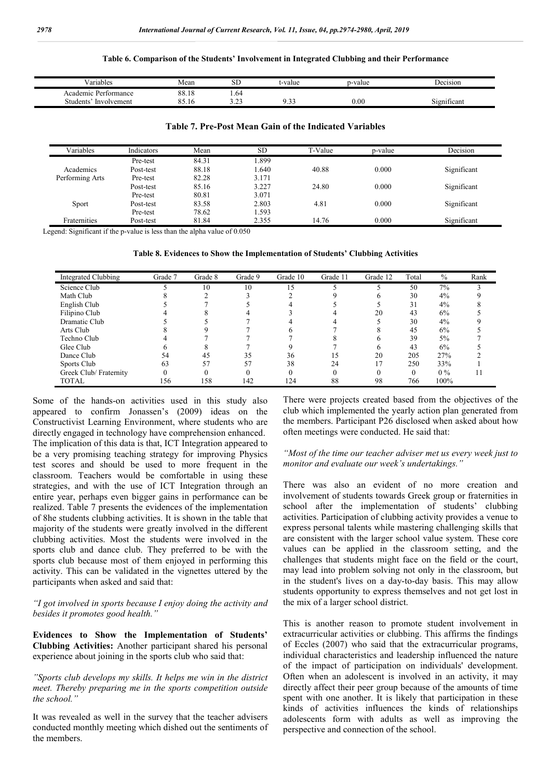#### **Table 6. Comparison of the Students' Involvement in Integrated Clubbing and their Performance**

| - -<br>ariables           | Mean                   | $\sim$ T<br>⊾ت    | t-value     | p-value   | -<br>Jecision |
|---------------------------|------------------------|-------------------|-------------|-----------|---------------|
| : Pertormance<br>Academic | 88.18                  | 1.64              |             |           |               |
| Involvement<br>Students   | $\sim$ $\sim$<br>00.IU | $\sim$<br>ر _ _ _ | $\sim$<br>ر | $_{0.00}$ | 1gnificant    |

## **Table 7. Pre-Post Mean Gain of the Indicated Variables**

| Variables       | Indicators | Mean  | <b>SD</b> | T-Value | p-value | Decision    |
|-----------------|------------|-------|-----------|---------|---------|-------------|
|                 | Pre-test   | 84.31 | .899      |         |         |             |
| Academics       | Post-test  | 88.18 | .640      | 40.88   | 0.000   | Significant |
| Performing Arts | Pre-test   | 82.28 | 3.171     |         |         |             |
|                 | Post-test  | 85.16 | 3.227     | 24.80   | 0.000   | Significant |
|                 | Pre-test   | 80.81 | 3.071     |         |         |             |
| Sport           | Post-test  | 83.58 | 2.803     | 4.81    | 0.000   | Significant |
|                 | Pre-test   | 78.62 | .593      |         |         |             |
| Fraternities    | Post-test  | 81.84 | 2.355     | 14.76   | 0.000   | Significant |

Legend: Significant if the p-value is less than the alpha value of 0.050

**Table 8. Evidences to Show the Implementation of Students' Clubbing Activities**

| Integrated Clubbing    | Grade 7 | Grade 8 | Grade 9 | Grade 10 | Grade 11 | Grade 12     | Total | $\%$  | Rank |
|------------------------|---------|---------|---------|----------|----------|--------------|-------|-------|------|
| Science Club           |         | 10      | 10      | 15       |          |              | 50    | 7%    |      |
| Math Club              |         |         |         |          |          | <sub>6</sub> | 30    | 4%    |      |
| English Club           |         |         |         |          |          |              | 31    | 4%    |      |
| Filipino Club          |         |         |         |          |          | 20           | 43    | 6%    |      |
| Dramatic Club          |         |         |         |          |          |              | 30    | 4%    |      |
| Arts Club              |         |         |         |          |          |              | 45    | 6%    |      |
| Techno Club            |         |         |         |          |          | h            | 39    | 5%    |      |
| Glee Club              |         |         |         |          |          | <sub>6</sub> | 43    | 6%    |      |
| Dance Club             | 54      | 45      | 35      | 36       | 15       | 20           | 205   | 27%   |      |
| Sports Club            | 63      | 57      | 57      | 38       | 24       |              | 250   | 33%   |      |
| Greek Club/ Fraternity | 0       |         |         | 0        |          |              |       | $0\%$ |      |
| <b>TOTAL</b>           | 156     | 158     | 142     | 124      | 88       | 98           | 766   | 100%  |      |

Some of the hands-on activities used in this study also appeared to confirm Jonassen's (2009) ideas on the Constructivist Learning Environment, where students who are directly engaged in technology have comprehension enhanced. The implication of this data is that, ICT Integration appeared to be a very promising teaching strategy for improving Physics test scores and should be used to more frequent in the classroom. Teachers would be comfortable in using these strategies, and with the use of ICT Integration through an entire year, perhaps even bigger gains in performance can be realized. Table 7 presents the evidences of the implementation of 8he students clubbing activities. It is shown in the table that majority of the students were greatly involved in the different clubbing activities. Most the students were involved in the sports club and dance club. They preferred to be with the sports club because most of them enjoyed in performing this activity. This can be validated in the vignettes uttered by the participants when asked and said that:

*"I got involved in sports because I enjoy doing the activity and besides it promotes good health."*

**Evidences to Show the Implementation of Students' Clubbing Activities:** Another participant shared his personal experience about joining in the sports club who said that:

*"Sports club develops my skills. It helps me win in the district meet. Thereby preparing me in the sports competition outside the school."*

It was revealed as well in the survey that the teacher advisers conducted monthly meeting which dished out the sentiments of the members.

There were projects created based from the objectives of the club which implemented the yearly action plan generated from the members. Participant P26 disclosed when asked about how often meetings were conducted. He said that:

*"Most of the time our teacher adviser met us every week just to monitor and evaluate our week's undertakings."*

There was also an evident of no more creation and involvement of students towards Greek group or fraternities in school after the implementation of students' clubbing activities. Participation of clubbing activity provides a venue to express personal talents while mastering challenging skills that are consistent with the larger school value system. These core values can be applied in the classroom setting, and the challenges that students might face on the field or the court, may lead into problem solving not only in the classroom, but in the student's lives on a day-to-day basis. This may allow students opportunity to express themselves and not get lost in the mix of a larger school district.

This is another reason to promote student involvement in extracurricular activities or clubbing. This affirms the findings of Eccles (2007) who said that the extracurricular programs, individual characteristics and leadership influenced the nature of the impact of participation on individuals' development. Often when an adolescent is involved in an activity, it may directly affect their peer group because of the amounts of time spent with one another. It is likely that participation in these kinds of activities influences the kinds of relationships adolescents form with adults as well as improving the perspective and connection of the school.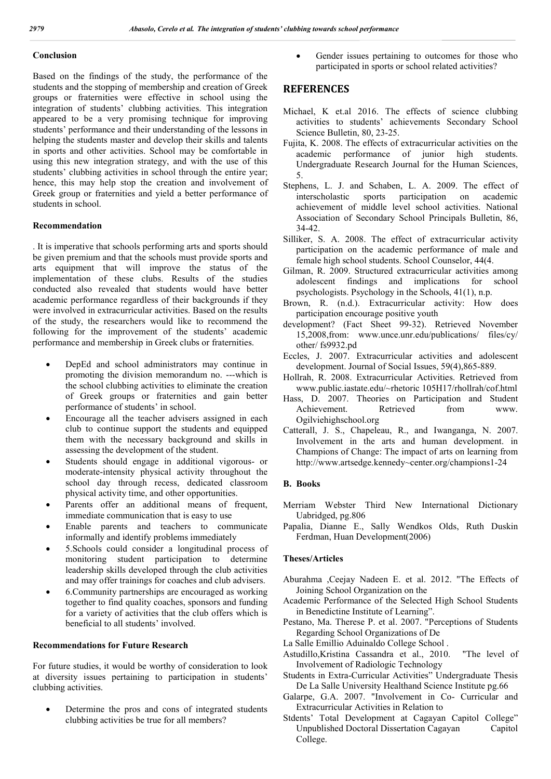## **Conclusion**

Based on the findings of the study, the performance of the students and the stopping of membership and creation of Greek groups or fraternities were effective in school using the integration of students' clubbing activities. This integration appeared to be a very promising technique for improving students' performance and their understanding of the lessons in helping the students master and develop their skills and talents in sports and other activities. School may be comfortable in using this new integration strategy, and with the use of this students' clubbing activities in school through the entire year; hence, this may help stop the creation and involvement of Greek group or fraternities and yield a better performance of students in school.

# **Recommendation**

. It is imperative that schools performing arts and sports should be given premium and that the schools must provide sports and arts equipment that will improve the status of the implementation of these clubs. Results of the studies conducted also revealed that students would have better academic performance regardless of their backgrounds if they were involved in extracurricular activities. Based on the results of the study, the researchers would like to recommend the following for the improvement of the students' academic performance and membership in Greek clubs or fraternities.

- DepEd and school administrators may continue in promoting the division memorandum no. ---which is the school clubbing activities to eliminate the creation of Greek groups or fraternities and gain better performance of students' in school.
- Encourage all the teacher advisers assigned in each club to continue support the students and equipped them with the necessary background and skills in assessing the development of the student.
- Students should engage in additional vigorous- or moderate-intensity physical activity throughout the school day through recess, dedicated classroom physical activity time, and other opportunities.
- Parents offer an additional means of frequent, immediate communication that is easy to use
- Enable parents and teachers to communicate informally and identify problems immediately
- 5.Schools could consider a longitudinal process of monitoring student participation to determine leadership skills developed through the club activities and may offer trainings for coaches and club advisers.
- 6.Community partnerships are encouraged as working together to find quality coaches, sponsors and funding for a variety of activities that the club offers which is beneficial to all students' involved.

## **Recommendations for Future Research**

For future studies, it would be worthy of consideration to look at diversity issues pertaining to participation in students' clubbing activities.

 Determine the pros and cons of integrated students clubbing activities be true for all members?

 Gender issues pertaining to outcomes for those who participated in sports or school related activities?

# **REFERENCES**

- Michael, K et.al 2016. The effects of science clubbing activities to students' achievements Secondary School Science Bulletin, 80, 23-25.
- Fujita, K. 2008. The effects of extracurricular activities on the academic performance of junior high students. Undergraduate Research Journal for the Human Sciences, 5.
- Stephens, L. J. and Schaben, L. A. 2009. The effect of interscholastic sports participation on academic achievement of middle level school activities. National Association of Secondary School Principals Bulletin, 86, 34-42.
- Silliker, S. A. 2008. The effect of extracurricular activity participation on the academic performance of male and female high school students. School Counselor, 44(4.
- Gilman, R. 2009. Structured extracurricular activities among adolescent findings and implications for school psychologists. Psychology in the Schools, 41(1), n.p.
- Brown, R. (n.d.). Extracurricular activity: How does participation encourage positive youth
- development? (Fact Sheet 99-32). Retrieved November 15,2008,from: www.unce.unr.edu/publications/ files/cy/ other/ fs9932.pd
- Eccles, J. 2007. Extracurricular activities and adolescent development. Journal of Social Issues, 59(4),865-889.
- Hollrah, R. 2008. Extracurricular Activities. Retrieved from www.public.iastate.edu/~rhetoric 105H17/rhollrah/cof.html
- Hass, D. 2007. Theories on Participation and Student<br>Achievement. Retrieved from www. Achievement. Retrieved from www. Ogilviehighschool.org
- Catterall, J. S., Chapeleau, R., and Iwanganga, N. 2007. Involvement in the arts and human development. in Champions of Change: The impact of arts on learning from http://www.artsedge.kennedy~center.org/champions1-24

# **B. Books**

- Merriam Webster Third New International Dictionary Uabridged, pg.806
- Papalia, Dianne E., Sally Wendkos Olds, Ruth Duskin Ferdman, Huan Development(2006)

#### **Theses/Articles**

- Aburahma ,Ceejay Nadeen E. et al. 2012. "The Effects of Joining School Organization on the
- Academic Performance of the Selected High School Students in Benedictine Institute of Learning".
- Pestano, Ma. Therese P. et al. 2007. "Perceptions of Students Regarding School Organizations of De
- La Salle Emillio Aduinaldo College School .
- Astudillo,Kristina Cassandra et al., 2010. "The level of Involvement of Radiologic Technology
- Students in Extra-Curricular Activities" Undergraduate Thesis De La Salle University Healthand Science Institute pg.66
- Galarpe, G.A. 2007. "Involvement in Co- Curricular and Extracurricular Activities in Relation to
- Stdents' Total Development at Cagayan Capitol College" Unpublished Doctoral Dissertation Cagayan Capitol College.